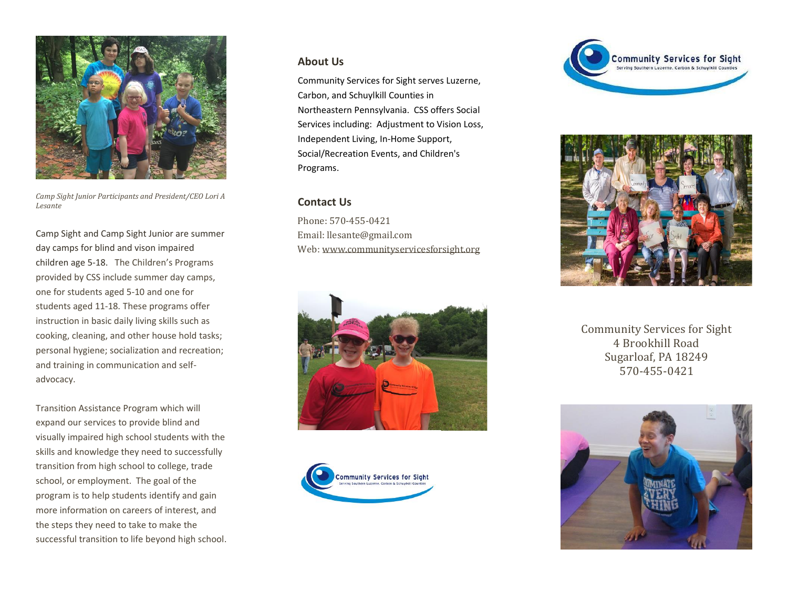

*Camp Sight Junior Participants and President/CEO Lori A Lesante*

Camp Sight and Camp Sight Junior are summer day camps for blind and vison impaired children age 5-18. The Children's Programs provided by CSS include summer day camps, one for students aged 5-10 and one for students aged 11-18. These programs offer instruction in basic daily living skills such as cooking, cleaning, and other house hold tasks; personal hygiene; socialization and recreation; and training in communication and selfadvocacy.

Transition Assistance Program which will expand our services to provide blind and visually impaired high school students with the skills and knowledge they need to successfully transition from high school to college, trade school, or employment. The goal of the program is to help students identify and gain more information on careers of interest, and the steps they need to take to make the successful transition to life beyond high school.

## **About Us**

Community Services for Sight serves Luzerne, Carbon, and Schuylkill Counties in Northeastern Pennsylvania. CSS offers Social Services including: Adjustment to Vision Loss, Independent Living, In-Home Support, Social/Recreation Events, and Children's Programs.

## **Contact Us**

Phone: 570-455-0421 Email: llesante@gmail.com Web[: www.communityservicesforsight.org](http://www.communityservicesforsight.org/)









Community Services for Sight 4 Brookhill Road Sugarloaf, PA 18249 570-455-0421